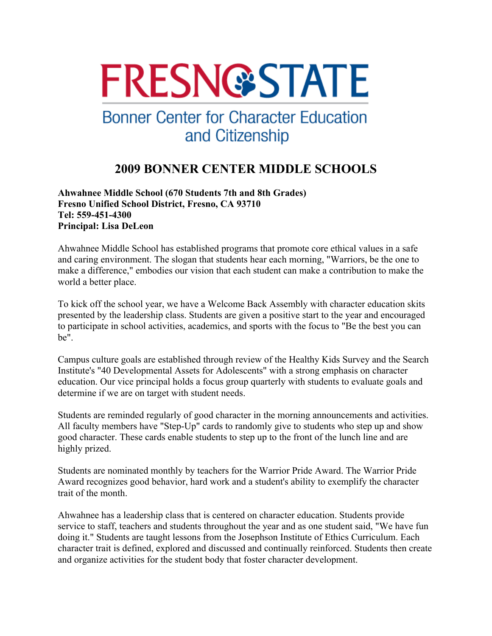# **FRESN@STATE**

## **Bonner Center for Character Education** and Citizenship

### **2009 BONNER CENTER MIDDLE SCHOOLS**

**Ahwahnee Middle School (670 Students 7th and 8th Grades) Fresno Unified School District, Fresno, CA 93710 Tel: 559-451-4300 Principal: Lisa DeLeon** 

Ahwahnee Middle School has established programs that promote core ethical values in a safe and caring environment. The slogan that students hear each morning, "Warriors, be the one to make a difference," embodies our vision that each student can make a contribution to make the world a better place.

To kick off the school year, we have a Welcome Back Assembly with character education skits presented by the leadership class. Students are given a positive start to the year and encouraged to participate in school activities, academics, and sports with the focus to "Be the best you can be".

Campus culture goals are established through review of the Healthy Kids Survey and the Search Institute's "40 Developmental Assets for Adolescents" with a strong emphasis on character education. Our vice principal holds a focus group quarterly with students to evaluate goals and determine if we are on target with student needs.

Students are reminded regularly of good character in the morning announcements and activities. All faculty members have "Step-Up" cards to randomly give to students who step up and show good character. These cards enable students to step up to the front of the lunch line and are highly prized.

Students are nominated monthly by teachers for the Warrior Pride Award. The Warrior Pride Award recognizes good behavior, hard work and a student's ability to exemplify the character trait of the month.

Ahwahnee has a leadership class that is centered on character education. Students provide service to staff, teachers and students throughout the year and as one student said, "We have fun doing it." Students are taught lessons from the Josephson Institute of Ethics Curriculum. Each character trait is defined, explored and discussed and continually reinforced. Students then create and organize activities for the student body that foster character development.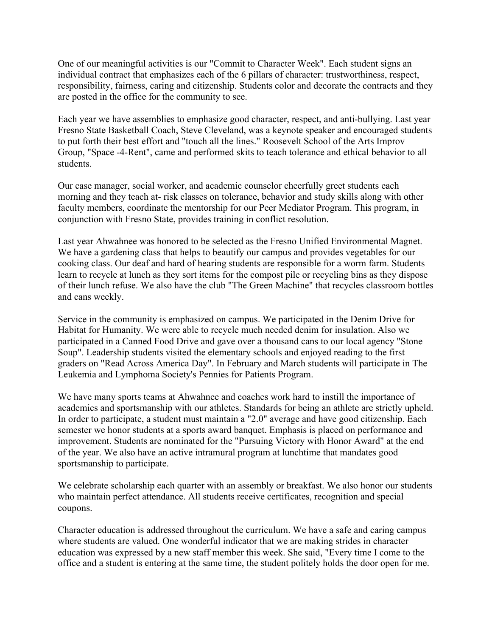One of our meaningful activities is our "Commit to Character Week". Each student signs an individual contract that emphasizes each of the 6 pillars of character: trustworthiness, respect, responsibility, fairness, caring and citizenship. Students color and decorate the contracts and they are posted in the office for the community to see.

Each year we have assemblies to emphasize good character, respect, and anti-bullying. Last year Fresno State Basketball Coach, Steve Cleveland, was a keynote speaker and encouraged students to put forth their best effort and "touch all the lines." Roosevelt School of the Arts Improv Group, "Space -4-Rent", came and performed skits to teach tolerance and ethical behavior to all students.

Our case manager, social worker, and academic counselor cheerfully greet students each morning and they teach at- risk classes on tolerance, behavior and study skills along with other faculty members, coordinate the mentorship for our Peer Mediator Program. This program, in conjunction with Fresno State, provides training in conflict resolution.

Last year Ahwahnee was honored to be selected as the Fresno Unified Environmental Magnet. We have a gardening class that helps to beautify our campus and provides vegetables for our cooking class. Our deaf and hard of hearing students are responsible for a worm farm. Students learn to recycle at lunch as they sort items for the compost pile or recycling bins as they dispose of their lunch refuse. We also have the club "The Green Machine" that recycles classroom bottles and cans weekly.

Service in the community is emphasized on campus. We participated in the Denim Drive for Habitat for Humanity. We were able to recycle much needed denim for insulation. Also we participated in a Canned Food Drive and gave over a thousand cans to our local agency "Stone Soup". Leadership students visited the elementary schools and enjoyed reading to the first graders on "Read Across America Day". In February and March students will participate in The Leukemia and Lymphoma Society's Pennies for Patients Program.

We have many sports teams at Ahwahnee and coaches work hard to instill the importance of academics and sportsmanship with our athletes. Standards for being an athlete are strictly upheld. In order to participate, a student must maintain a "2.0" average and have good citizenship. Each semester we honor students at a sports award banquet. Emphasis is placed on performance and improvement. Students are nominated for the "Pursuing Victory with Honor Award" at the end of the year. We also have an active intramural program at lunchtime that mandates good sportsmanship to participate.

We celebrate scholarship each quarter with an assembly or breakfast. We also honor our students who maintain perfect attendance. All students receive certificates, recognition and special coupons.

Character education is addressed throughout the curriculum. We have a safe and caring campus where students are valued. One wonderful indicator that we are making strides in character education was expressed by a new staff member this week. She said, "Every time I come to the office and a student is entering at the same time, the student politely holds the door open for me.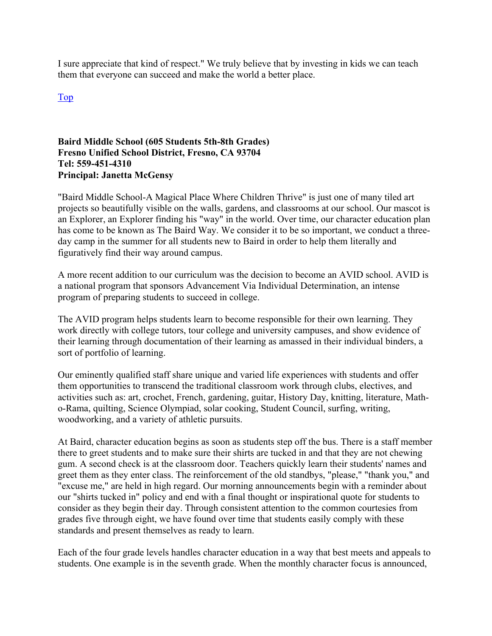I sure appreciate that kind of respect." We truly believe that by investing in kids we can teach them that everyone can succeed and make the world a better place.

Top

#### **Baird Middle School (605 Students 5th-8th Grades) Fresno Unified School District, Fresno, CA 93704 Tel: 559-451-4310 Principal: Janetta McGensy**

"Baird Middle School-A Magical Place Where Children Thrive" is just one of many tiled art projects so beautifully visible on the walls, gardens, and classrooms at our school. Our mascot is an Explorer, an Explorer finding his "way" in the world. Over time, our character education plan has come to be known as The Baird Way. We consider it to be so important, we conduct a threeday camp in the summer for all students new to Baird in order to help them literally and figuratively find their way around campus.

A more recent addition to our curriculum was the decision to become an AVID school. AVID is a national program that sponsors Advancement Via Individual Determination, an intense program of preparing students to succeed in college.

The AVID program helps students learn to become responsible for their own learning. They work directly with college tutors, tour college and university campuses, and show evidence of their learning through documentation of their learning as amassed in their individual binders, a sort of portfolio of learning.

Our eminently qualified staff share unique and varied life experiences with students and offer them opportunities to transcend the traditional classroom work through clubs, electives, and activities such as: art, crochet, French, gardening, guitar, History Day, knitting, literature, Matho-Rama, quilting, Science Olympiad, solar cooking, Student Council, surfing, writing, woodworking, and a variety of athletic pursuits.

At Baird, character education begins as soon as students step off the bus. There is a staff member there to greet students and to make sure their shirts are tucked in and that they are not chewing gum. A second check is at the classroom door. Teachers quickly learn their students' names and greet them as they enter class. The reinforcement of the old standbys, "please," "thank you," and "excuse me," are held in high regard. Our morning announcements begin with a reminder about our "shirts tucked in" policy and end with a final thought or inspirational quote for students to consider as they begin their day. Through consistent attention to the common courtesies from grades five through eight, we have found over time that students easily comply with these standards and present themselves as ready to learn.

Each of the four grade levels handles character education in a way that best meets and appeals to students. One example is in the seventh grade. When the monthly character focus is announced,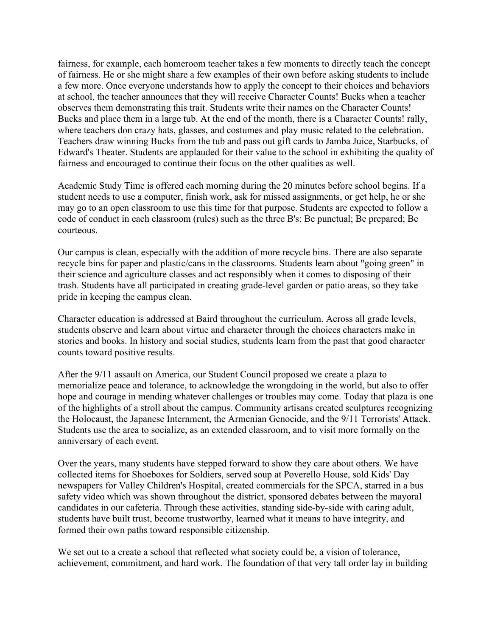fairness, for example, each homeroom teacher takes a few moments to directly teach the concept of fairness. He or she might share a few examples of their own before asking students to include a few more. Once everyone understands how to apply the concept to their choices and behaviors at school, the teacher announces that they will receive Character Counts! Bucks when a teacher observes them demonstrating this trait. Students write their names on the Character Counts! Bucks and place them in a large tub. At the end of the month, there is a Character Counts! rally, where teachers don crazy hats, glasses, and costumes and play music related to the celebration. Teachers draw winning Bucks from the tub and pass out gift cards to Jamba Juice, Starbucks, of Edward's Theater. Students are applauded for their value to the school in exhibiting the quality of fairness and encouraged to continue their focus on the other qualities as well.

Academic Study Time is offered each morning during the 20 minutes before school begins. If a student needs to use a computer, finish work, ask for missed assignments, or get help, he or she may go to an open classroom to use this time for that purpose. Students are expected to follow a code of conduct in each classroom (rules) such as the three B's: Be punctual; Be prepared; Be courteous.

Our campus is clean, especially with the addition of more recycle bins. There are also separate recycle bins for paper and plastic/cans in the classrooms. Students learn about "going green" in their science and agriculture classes and act responsibly when it comes to disposing of their trash. Students have all participated in creating grade-level garden or patio areas, so they take pride in keeping the campus clean.

Character education is addressed at Baird throughout the curriculum. Across all grade levels, students observe and learn about virtue and character through the choices characters make in stories and books. In history and social studies, students learn from the past that good character counts toward positive results.

After the 9/11 assault on America, our Student Council proposed we create a plaza to memorialize peace and tolerance, to acknowledge the wrongdoing in the world, but also to offer hope and courage in mending whatever challenges or troubles may come. Today that plaza is one of the highlights of a stroll about the campus. Community artisans created sculptures recognizing the Holocaust, the Japanese Internment, the Armenian Genocide, and the 9/11 Terrorists' Attack. Students use the area to socialize, as an extended classroom, and to visit more formally on the anniversary of each event.

Over the years, many students have stepped forward to show they care about others. We have collected items for Shoeboxes for Soldiers, served soup at Poverello House, sold Kids' Day newspapers for Valley Children's Hospital, created commercials for the SPCA, starred in a bus safety video which was shown throughout the district, sponsored debates between the mayoral candidates in our cafeteria. Through these activities, standing side-by-side with caring adult, students have built trust, become trustworthy, learned what it means to have integrity, and formed their own paths toward responsible citizenship.

We set out to a create a school that reflected what society could be, a vision of tolerance, achievement, commitment, and hard work. The foundation of that very tall order lay in building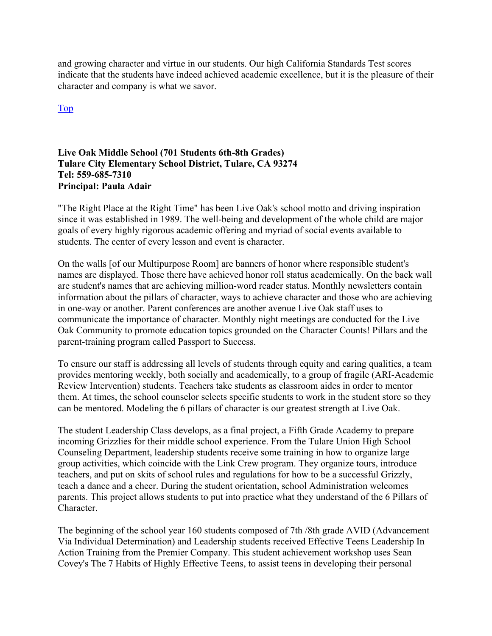and growing character and virtue in our students. Our high California Standards Test scores indicate that the students have indeed achieved academic excellence, but it is the pleasure of their character and company is what we savor.

Top

#### **Live Oak Middle School (701 Students 6th-8th Grades) Tulare City Elementary School District, Tulare, CA 93274 Tel: 559-685-7310 Principal: Paula Adair**

"The Right Place at the Right Time" has been Live Oak's school motto and driving inspiration since it was established in 1989. The well-being and development of the whole child are major goals of every highly rigorous academic offering and myriad of social events available to students. The center of every lesson and event is character.

On the walls [of our Multipurpose Room] are banners of honor where responsible student's names are displayed. Those there have achieved honor roll status academically. On the back wall are student's names that are achieving million-word reader status. Monthly newsletters contain information about the pillars of character, ways to achieve character and those who are achieving in one-way or another. Parent conferences are another avenue Live Oak staff uses to communicate the importance of character. Monthly night meetings are conducted for the Live Oak Community to promote education topics grounded on the Character Counts! Pillars and the parent-training program called Passport to Success.

To ensure our staff is addressing all levels of students through equity and caring qualities, a team provides mentoring weekly, both socially and academically, to a group of fragile (ARI-Academic Review Intervention) students. Teachers take students as classroom aides in order to mentor them. At times, the school counselor selects specific students to work in the student store so they can be mentored. Modeling the 6 pillars of character is our greatest strength at Live Oak.

The student Leadership Class develops, as a final project, a Fifth Grade Academy to prepare incoming Grizzlies for their middle school experience. From the Tulare Union High School Counseling Department, leadership students receive some training in how to organize large group activities, which coincide with the Link Crew program. They organize tours, introduce teachers, and put on skits of school rules and regulations for how to be a successful Grizzly, teach a dance and a cheer. During the student orientation, school Administration welcomes parents. This project allows students to put into practice what they understand of the 6 Pillars of Character.

The beginning of the school year 160 students composed of 7th /8th grade AVID (Advancement Via Individual Determination) and Leadership students received Effective Teens Leadership In Action Training from the Premier Company. This student achievement workshop uses Sean Covey's The 7 Habits of Highly Effective Teens, to assist teens in developing their personal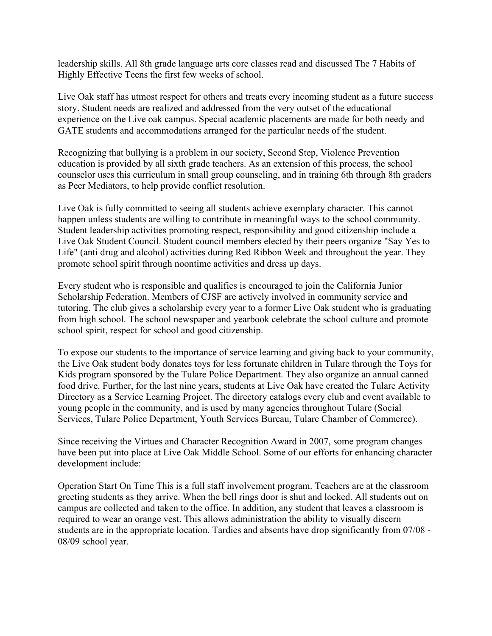leadership skills. All 8th grade language arts core classes read and discussed The 7 Habits of Highly Effective Teens the first few weeks of school.

Live Oak staff has utmost respect for others and treats every incoming student as a future success story. Student needs are realized and addressed from the very outset of the educational experience on the Live oak campus. Special academic placements are made for both needy and GATE students and accommodations arranged for the particular needs of the student.

Recognizing that bullying is a problem in our society, Second Step, Violence Prevention education is provided by all sixth grade teachers. As an extension of this process, the school counselor uses this curriculum in small group counseling, and in training 6th through 8th graders as Peer Mediators, to help provide conflict resolution.

Live Oak is fully committed to seeing all students achieve exemplary character. This cannot happen unless students are willing to contribute in meaningful ways to the school community. Student leadership activities promoting respect, responsibility and good citizenship include a Live Oak Student Council. Student council members elected by their peers organize "Say Yes to Life" (anti drug and alcohol) activities during Red Ribbon Week and throughout the year. They promote school spirit through noontime activities and dress up days.

Every student who is responsible and qualifies is encouraged to join the California Junior Scholarship Federation. Members of CJSF are actively involved in community service and tutoring. The club gives a scholarship every year to a former Live Oak student who is graduating from high school. The school newspaper and yearbook celebrate the school culture and promote school spirit, respect for school and good citizenship.

To expose our students to the importance of service learning and giving back to your community, the Live Oak student body donates toys for less fortunate children in Tulare through the Toys for Kids program sponsored by the Tulare Police Department. They also organize an annual canned food drive. Further, for the last nine years, students at Live Oak have created the Tulare Activity Directory as a Service Learning Project. The directory catalogs every club and event available to young people in the community, and is used by many agencies throughout Tulare (Social Services, Tulare Police Department, Youth Services Bureau, Tulare Chamber of Commerce).

Since receiving the Virtues and Character Recognition Award in 2007, some program changes have been put into place at Live Oak Middle School. Some of our efforts for enhancing character development include:

Operation Start On Time This is a full staff involvement program. Teachers are at the classroom greeting students as they arrive. When the bell rings door is shut and locked. All students out on campus are collected and taken to the office. In addition, any student that leaves a classroom is required to wear an orange vest. This allows administration the ability to visually discern students are in the appropriate location. Tardies and absents have drop significantly from 07/08 - 08/09 school year.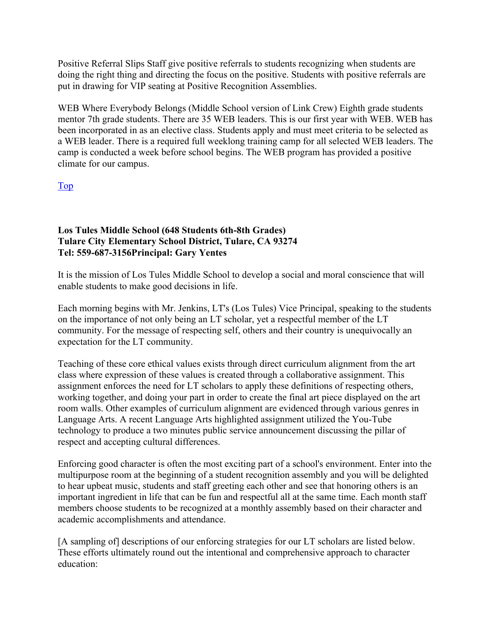Positive Referral Slips Staff give positive referrals to students recognizing when students are doing the right thing and directing the focus on the positive. Students with positive referrals are put in drawing for VIP seating at Positive Recognition Assemblies.

WEB Where Everybody Belongs (Middle School version of Link Crew) Eighth grade students mentor 7th grade students. There are 35 WEB leaders. This is our first year with WEB. WEB has been incorporated in as an elective class. Students apply and must meet criteria to be selected as a WEB leader. There is a required full weeklong training camp for all selected WEB leaders. The camp is conducted a week before school begins. The WEB program has provided a positive climate for our campus.

Top

#### **Los Tules Middle School (648 Students 6th-8th Grades) Tulare City Elementary School District, Tulare, CA 93274 Tel: 559-687-3156Principal: Gary Yentes**

It is the mission of Los Tules Middle School to develop a social and moral conscience that will enable students to make good decisions in life.

Each morning begins with Mr. Jenkins, LT's (Los Tules) Vice Principal, speaking to the students on the importance of not only being an LT scholar, yet a respectful member of the LT community. For the message of respecting self, others and their country is unequivocally an expectation for the LT community.

Teaching of these core ethical values exists through direct curriculum alignment from the art class where expression of these values is created through a collaborative assignment. This assignment enforces the need for LT scholars to apply these definitions of respecting others, working together, and doing your part in order to create the final art piece displayed on the art room walls. Other examples of curriculum alignment are evidenced through various genres in Language Arts. A recent Language Arts highlighted assignment utilized the You-Tube technology to produce a two minutes public service announcement discussing the pillar of respect and accepting cultural differences.

Enforcing good character is often the most exciting part of a school's environment. Enter into the multipurpose room at the beginning of a student recognition assembly and you will be delighted to hear upbeat music, students and staff greeting each other and see that honoring others is an important ingredient in life that can be fun and respectful all at the same time. Each month staff members choose students to be recognized at a monthly assembly based on their character and academic accomplishments and attendance.

[A sampling of] descriptions of our enforcing strategies for our LT scholars are listed below. These efforts ultimately round out the intentional and comprehensive approach to character education: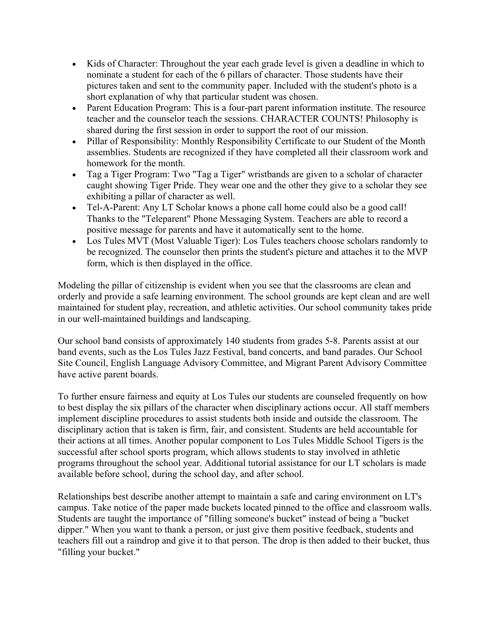- Kids of Character: Throughout the year each grade level is given a deadline in which to nominate a student for each of the 6 pillars of character. Those students have their pictures taken and sent to the community paper. Included with the student's photo is a short explanation of why that particular student was chosen.
- Parent Education Program: This is a four-part parent information institute. The resource teacher and the counselor teach the sessions. CHARACTER COUNTS! Philosophy is shared during the first session in order to support the root of our mission.
- Pillar of Responsibility: Monthly Responsibility Certificate to our Student of the Month assemblies. Students are recognized if they have completed all their classroom work and homework for the month.
- Tag a Tiger Program: Two "Tag a Tiger" wristbands are given to a scholar of character caught showing Tiger Pride. They wear one and the other they give to a scholar they see exhibiting a pillar of character as well.
- Tel-A-Parent: Any LT Scholar knows a phone call home could also be a good call! Thanks to the "Teleparent" Phone Messaging System. Teachers are able to record a positive message for parents and have it automatically sent to the home.
- Los Tules MVT (Most Valuable Tiger): Los Tules teachers choose scholars randomly to be recognized. The counselor then prints the student's picture and attaches it to the MVP form, which is then displayed in the office.

Modeling the pillar of citizenship is evident when you see that the classrooms are clean and orderly and provide a safe learning environment. The school grounds are kept clean and are well maintained for student play, recreation, and athletic activities. Our school community takes pride in our well-maintained buildings and landscaping.

Our school band consists of approximately 140 students from grades 5-8. Parents assist at our band events, such as the Los Tules Jazz Festival, band concerts, and band parades. Our School Site Council, English Language Advisory Committee, and Migrant Parent Advisory Committee have active parent boards.

To further ensure fairness and equity at Los Tules our students are counseled frequently on how to best display the six pillars of the character when disciplinary actions occur. All staff members implement discipline procedures to assist students both inside and outside the classroom. The disciplinary action that is taken is firm, fair, and consistent. Students are held accountable for their actions at all times. Another popular component to Los Tules Middle School Tigers is the successful after school sports program, which allows students to stay involved in athletic programs throughout the school year. Additional tutorial assistance for our LT scholars is made available before school, during the school day, and after school.

Relationships best describe another attempt to maintain a safe and caring environment on LT's campus. Take notice of the paper made buckets located pinned to the office and classroom walls. Students are taught the importance of "filling someone's bucket" instead of being a "bucket dipper." When you want to thank a person, or just give them positive feedback, students and teachers fill out a raindrop and give it to that person. The drop is then added to their bucket, thus "filling your bucket."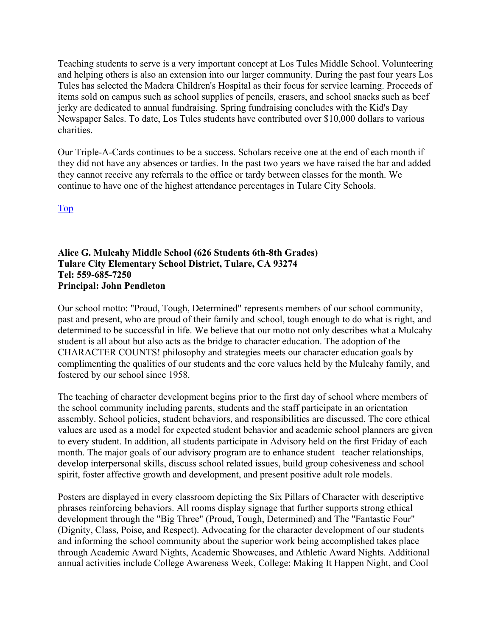Teaching students to serve is a very important concept at Los Tules Middle School. Volunteering and helping others is also an extension into our larger community. During the past four years Los Tules has selected the Madera Children's Hospital as their focus for service learning. Proceeds of items sold on campus such as school supplies of pencils, erasers, and school snacks such as beef jerky are dedicated to annual fundraising. Spring fundraising concludes with the Kid's Day Newspaper Sales. To date, Los Tules students have contributed over \$10,000 dollars to various charities.

Our Triple-A-Cards continues to be a success. Scholars receive one at the end of each month if they did not have any absences or tardies. In the past two years we have raised the bar and added they cannot receive any referrals to the office or tardy between classes for the month. We continue to have one of the highest attendance percentages in Tulare City Schools.

Top

**Alice G. Mulcahy Middle School (626 Students 6th-8th Grades) Tulare City Elementary School District, Tulare, CA 93274 Tel: 559-685-7250 Principal: John Pendleton** 

Our school motto: "Proud, Tough, Determined" represents members of our school community, past and present, who are proud of their family and school, tough enough to do what is right, and determined to be successful in life. We believe that our motto not only describes what a Mulcahy student is all about but also acts as the bridge to character education. The adoption of the CHARACTER COUNTS! philosophy and strategies meets our character education goals by complimenting the qualities of our students and the core values held by the Mulcahy family, and fostered by our school since 1958.

The teaching of character development begins prior to the first day of school where members of the school community including parents, students and the staff participate in an orientation assembly. School policies, student behaviors, and responsibilities are discussed. The core ethical values are used as a model for expected student behavior and academic school planners are given to every student. In addition, all students participate in Advisory held on the first Friday of each month. The major goals of our advisory program are to enhance student –teacher relationships, develop interpersonal skills, discuss school related issues, build group cohesiveness and school spirit, foster affective growth and development, and present positive adult role models.

Posters are displayed in every classroom depicting the Six Pillars of Character with descriptive phrases reinforcing behaviors. All rooms display signage that further supports strong ethical development through the "Big Three" (Proud, Tough, Determined) and The "Fantastic Four" (Dignity, Class, Poise, and Respect). Advocating for the character development of our students and informing the school community about the superior work being accomplished takes place through Academic Award Nights, Academic Showcases, and Athletic Award Nights. Additional annual activities include College Awareness Week, College: Making It Happen Night, and Cool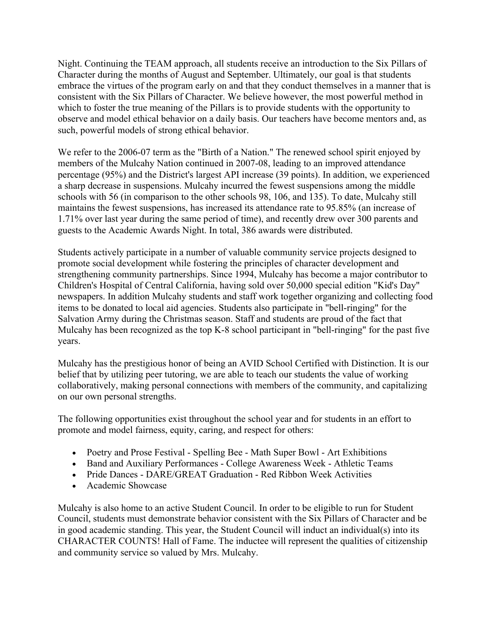Night. Continuing the TEAM approach, all students receive an introduction to the Six Pillars of Character during the months of August and September. Ultimately, our goal is that students embrace the virtues of the program early on and that they conduct themselves in a manner that is consistent with the Six Pillars of Character. We believe however, the most powerful method in which to foster the true meaning of the Pillars is to provide students with the opportunity to observe and model ethical behavior on a daily basis. Our teachers have become mentors and, as such, powerful models of strong ethical behavior.

We refer to the 2006-07 term as the "Birth of a Nation." The renewed school spirit enjoyed by members of the Mulcahy Nation continued in 2007-08, leading to an improved attendance percentage (95%) and the District's largest API increase (39 points). In addition, we experienced a sharp decrease in suspensions. Mulcahy incurred the fewest suspensions among the middle schools with 56 (in comparison to the other schools 98, 106, and 135). To date, Mulcahy still maintains the fewest suspensions, has increased its attendance rate to 95.85% (an increase of 1.71% over last year during the same period of time), and recently drew over 300 parents and guests to the Academic Awards Night. In total, 386 awards were distributed.

Students actively participate in a number of valuable community service projects designed to promote social development while fostering the principles of character development and strengthening community partnerships. Since 1994, Mulcahy has become a major contributor to Children's Hospital of Central California, having sold over 50,000 special edition "Kid's Day" newspapers. In addition Mulcahy students and staff work together organizing and collecting food items to be donated to local aid agencies. Students also participate in "bell-ringing" for the Salvation Army during the Christmas season. Staff and students are proud of the fact that Mulcahy has been recognized as the top K-8 school participant in "bell-ringing" for the past five years.

Mulcahy has the prestigious honor of being an AVID School Certified with Distinction. It is our belief that by utilizing peer tutoring, we are able to teach our students the value of working collaboratively, making personal connections with members of the community, and capitalizing on our own personal strengths.

The following opportunities exist throughout the school year and for students in an effort to promote and model fairness, equity, caring, and respect for others:

- Poetry and Prose Festival Spelling Bee Math Super Bowl Art Exhibitions
- Band and Auxiliary Performances College Awareness Week Athletic Teams
- Pride Dances DARE/GREAT Graduation Red Ribbon Week Activities
- Academic Showcase

Mulcahy is also home to an active Student Council. In order to be eligible to run for Student Council, students must demonstrate behavior consistent with the Six Pillars of Character and be in good academic standing. This year, the Student Council will induct an individual(s) into its CHARACTER COUNTS! Hall of Fame. The inductee will represent the qualities of citizenship and community service so valued by Mrs. Mulcahy.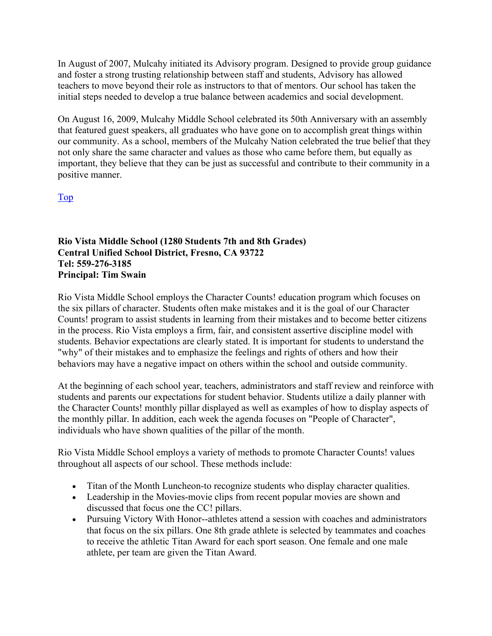In August of 2007, Mulcahy initiated its Advisory program. Designed to provide group guidance and foster a strong trusting relationship between staff and students, Advisory has allowed teachers to move beyond their role as instructors to that of mentors. Our school has taken the initial steps needed to develop a true balance between academics and social development.

On August 16, 2009, Mulcahy Middle School celebrated its 50th Anniversary with an assembly that featured guest speakers, all graduates who have gone on to accomplish great things within our community. As a school, members of the Mulcahy Nation celebrated the true belief that they not only share the same character and values as those who came before them, but equally as important, they believe that they can be just as successful and contribute to their community in a positive manner.

Top

#### **Rio Vista Middle School (1280 Students 7th and 8th Grades) Central Unified School District, Fresno, CA 93722 Tel: 559-276-3185 Principal: Tim Swain**

Rio Vista Middle School employs the Character Counts! education program which focuses on the six pillars of character. Students often make mistakes and it is the goal of our Character Counts! program to assist students in learning from their mistakes and to become better citizens in the process. Rio Vista employs a firm, fair, and consistent assertive discipline model with students. Behavior expectations are clearly stated. It is important for students to understand the "why" of their mistakes and to emphasize the feelings and rights of others and how their behaviors may have a negative impact on others within the school and outside community.

At the beginning of each school year, teachers, administrators and staff review and reinforce with students and parents our expectations for student behavior. Students utilize a daily planner with the Character Counts! monthly pillar displayed as well as examples of how to display aspects of the monthly pillar. In addition, each week the agenda focuses on "People of Character", individuals who have shown qualities of the pillar of the month.

Rio Vista Middle School employs a variety of methods to promote Character Counts! values throughout all aspects of our school. These methods include:

- Titan of the Month Luncheon-to recognize students who display character qualities.
- Leadership in the Movies-movie clips from recent popular movies are shown and discussed that focus one the CC! pillars.
- Pursuing Victory With Honor--athletes attend a session with coaches and administrators that focus on the six pillars. One 8th grade athlete is selected by teammates and coaches to receive the athletic Titan Award for each sport season. One female and one male athlete, per team are given the Titan Award.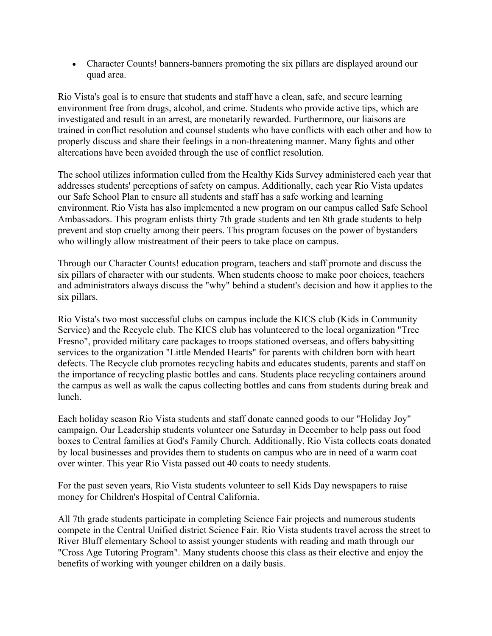• Character Counts! banners-banners promoting the six pillars are displayed around our quad area.

Rio Vista's goal is to ensure that students and staff have a clean, safe, and secure learning environment free from drugs, alcohol, and crime. Students who provide active tips, which are investigated and result in an arrest, are monetarily rewarded. Furthermore, our liaisons are trained in conflict resolution and counsel students who have conflicts with each other and how to properly discuss and share their feelings in a non-threatening manner. Many fights and other altercations have been avoided through the use of conflict resolution.

The school utilizes information culled from the Healthy Kids Survey administered each year that addresses students' perceptions of safety on campus. Additionally, each year Rio Vista updates our Safe School Plan to ensure all students and staff has a safe working and learning environment. Rio Vista has also implemented a new program on our campus called Safe School Ambassadors. This program enlists thirty 7th grade students and ten 8th grade students to help prevent and stop cruelty among their peers. This program focuses on the power of bystanders who willingly allow mistreatment of their peers to take place on campus.

Through our Character Counts! education program, teachers and staff promote and discuss the six pillars of character with our students. When students choose to make poor choices, teachers and administrators always discuss the "why" behind a student's decision and how it applies to the six pillars.

Rio Vista's two most successful clubs on campus include the KICS club (Kids in Community Service) and the Recycle club. The KICS club has volunteered to the local organization "Tree Fresno", provided military care packages to troops stationed overseas, and offers babysitting services to the organization "Little Mended Hearts" for parents with children born with heart defects. The Recycle club promotes recycling habits and educates students, parents and staff on the importance of recycling plastic bottles and cans. Students place recycling containers around the campus as well as walk the capus collecting bottles and cans from students during break and lunch.

Each holiday season Rio Vista students and staff donate canned goods to our "Holiday Joy" campaign. Our Leadership students volunteer one Saturday in December to help pass out food boxes to Central families at God's Family Church. Additionally, Rio Vista collects coats donated by local businesses and provides them to students on campus who are in need of a warm coat over winter. This year Rio Vista passed out 40 coats to needy students.

For the past seven years, Rio Vista students volunteer to sell Kids Day newspapers to raise money for Children's Hospital of Central California.

All 7th grade students participate in completing Science Fair projects and numerous students compete in the Central Unified district Science Fair. Rio Vista students travel across the street to River Bluff elementary School to assist younger students with reading and math through our "Cross Age Tutoring Program". Many students choose this class as their elective and enjoy the benefits of working with younger children on a daily basis.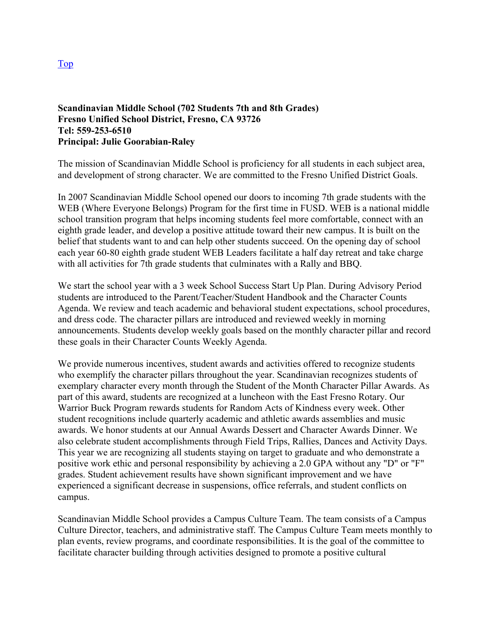#### **Scandinavian Middle School (702 Students 7th and 8th Grades) Fresno Unified School District, Fresno, CA 93726 Tel: 559-253-6510 Principal: Julie Goorabian-Raley**

The mission of Scandinavian Middle School is proficiency for all students in each subject area, and development of strong character. We are committed to the Fresno Unified District Goals.

In 2007 Scandinavian Middle School opened our doors to incoming 7th grade students with the WEB (Where Everyone Belongs) Program for the first time in FUSD. WEB is a national middle school transition program that helps incoming students feel more comfortable, connect with an eighth grade leader, and develop a positive attitude toward their new campus. It is built on the belief that students want to and can help other students succeed. On the opening day of school each year 60-80 eighth grade student WEB Leaders facilitate a half day retreat and take charge with all activities for 7th grade students that culminates with a Rally and BBQ.

We start the school year with a 3 week School Success Start Up Plan. During Advisory Period students are introduced to the Parent/Teacher/Student Handbook and the Character Counts Agenda. We review and teach academic and behavioral student expectations, school procedures, and dress code. The character pillars are introduced and reviewed weekly in morning announcements. Students develop weekly goals based on the monthly character pillar and record these goals in their Character Counts Weekly Agenda.

We provide numerous incentives, student awards and activities offered to recognize students who exemplify the character pillars throughout the year. Scandinavian recognizes students of exemplary character every month through the Student of the Month Character Pillar Awards. As part of this award, students are recognized at a luncheon with the East Fresno Rotary. Our Warrior Buck Program rewards students for Random Acts of Kindness every week. Other student recognitions include quarterly academic and athletic awards assemblies and music awards. We honor students at our Annual Awards Dessert and Character Awards Dinner. We also celebrate student accomplishments through Field Trips, Rallies, Dances and Activity Days. This year we are recognizing all students staying on target to graduate and who demonstrate a positive work ethic and personal responsibility by achieving a 2.0 GPA without any "D" or "F" grades. Student achievement results have shown significant improvement and we have experienced a significant decrease in suspensions, office referrals, and student conflicts on campus.

Scandinavian Middle School provides a Campus Culture Team. The team consists of a Campus Culture Director, teachers, and administrative staff. The Campus Culture Team meets monthly to plan events, review programs, and coordinate responsibilities. It is the goal of the committee to facilitate character building through activities designed to promote a positive cultural

Top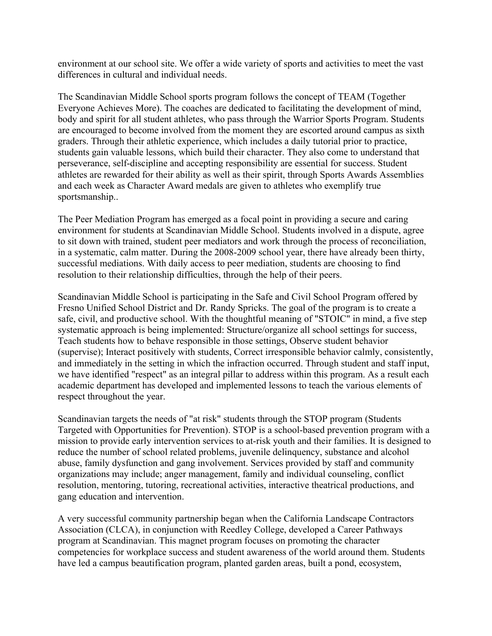environment at our school site. We offer a wide variety of sports and activities to meet the vast differences in cultural and individual needs.

The Scandinavian Middle School sports program follows the concept of TEAM (Together Everyone Achieves More). The coaches are dedicated to facilitating the development of mind, body and spirit for all student athletes, who pass through the Warrior Sports Program. Students are encouraged to become involved from the moment they are escorted around campus as sixth graders. Through their athletic experience, which includes a daily tutorial prior to practice, students gain valuable lessons, which build their character. They also come to understand that perseverance, self-discipline and accepting responsibility are essential for success. Student athletes are rewarded for their ability as well as their spirit, through Sports Awards Assemblies and each week as Character Award medals are given to athletes who exemplify true sportsmanship..

The Peer Mediation Program has emerged as a focal point in providing a secure and caring environment for students at Scandinavian Middle School. Students involved in a dispute, agree to sit down with trained, student peer mediators and work through the process of reconciliation, in a systematic, calm matter. During the 2008-2009 school year, there have already been thirty, successful mediations. With daily access to peer mediation, students are choosing to find resolution to their relationship difficulties, through the help of their peers.

Scandinavian Middle School is participating in the Safe and Civil School Program offered by Fresno Unified School District and Dr. Randy Spricks. The goal of the program is to create a safe, civil, and productive school. With the thoughtful meaning of "STOIC" in mind, a five step systematic approach is being implemented: Structure/organize all school settings for success, Teach students how to behave responsible in those settings, Observe student behavior (supervise); Interact positively with students, Correct irresponsible behavior calmly, consistently, and immediately in the setting in which the infraction occurred. Through student and staff input, we have identified "respect" as an integral pillar to address within this program. As a result each academic department has developed and implemented lessons to teach the various elements of respect throughout the year.

Scandinavian targets the needs of "at risk" students through the STOP program (Students Targeted with Opportunities for Prevention). STOP is a school-based prevention program with a mission to provide early intervention services to at-risk youth and their families. It is designed to reduce the number of school related problems, juvenile delinquency, substance and alcohol abuse, family dysfunction and gang involvement. Services provided by staff and community organizations may include; anger management, family and individual counseling, conflict resolution, mentoring, tutoring, recreational activities, interactive theatrical productions, and gang education and intervention.

A very successful community partnership began when the California Landscape Contractors Association (CLCA), in conjunction with Reedley College, developed a Career Pathways program at Scandinavian. This magnet program focuses on promoting the character competencies for workplace success and student awareness of the world around them. Students have led a campus beautification program, planted garden areas, built a pond, ecosystem,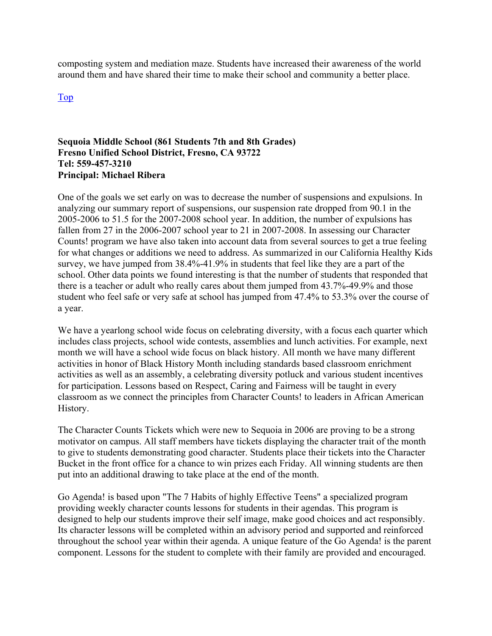composting system and mediation maze. Students have increased their awareness of the world around them and have shared their time to make their school and community a better place.

Top

#### **Sequoia Middle School (861 Students 7th and 8th Grades) Fresno Unified School District, Fresno, CA 93722 Tel: 559-457-3210 Principal: Michael Ribera**

One of the goals we set early on was to decrease the number of suspensions and expulsions. In analyzing our summary report of suspensions, our suspension rate dropped from 90.1 in the 2005-2006 to 51.5 for the 2007-2008 school year. In addition, the number of expulsions has fallen from 27 in the 2006-2007 school year to 21 in 2007-2008. In assessing our Character Counts! program we have also taken into account data from several sources to get a true feeling for what changes or additions we need to address. As summarized in our California Healthy Kids survey, we have jumped from 38.4%-41.9% in students that feel like they are a part of the school. Other data points we found interesting is that the number of students that responded that there is a teacher or adult who really cares about them jumped from 43.7%-49.9% and those student who feel safe or very safe at school has jumped from 47.4% to 53.3% over the course of a year.

We have a yearlong school wide focus on celebrating diversity, with a focus each quarter which includes class projects, school wide contests, assemblies and lunch activities. For example, next month we will have a school wide focus on black history. All month we have many different activities in honor of Black History Month including standards based classroom enrichment activities as well as an assembly, a celebrating diversity potluck and various student incentives for participation. Lessons based on Respect, Caring and Fairness will be taught in every classroom as we connect the principles from Character Counts! to leaders in African American History.

The Character Counts Tickets which were new to Sequoia in 2006 are proving to be a strong motivator on campus. All staff members have tickets displaying the character trait of the month to give to students demonstrating good character. Students place their tickets into the Character Bucket in the front office for a chance to win prizes each Friday. All winning students are then put into an additional drawing to take place at the end of the month.

Go Agenda! is based upon "The 7 Habits of highly Effective Teens" a specialized program providing weekly character counts lessons for students in their agendas. This program is designed to help our students improve their self image, make good choices and act responsibly. Its character lessons will be completed within an advisory period and supported and reinforced throughout the school year within their agenda. A unique feature of the Go Agenda! is the parent component. Lessons for the student to complete with their family are provided and encouraged.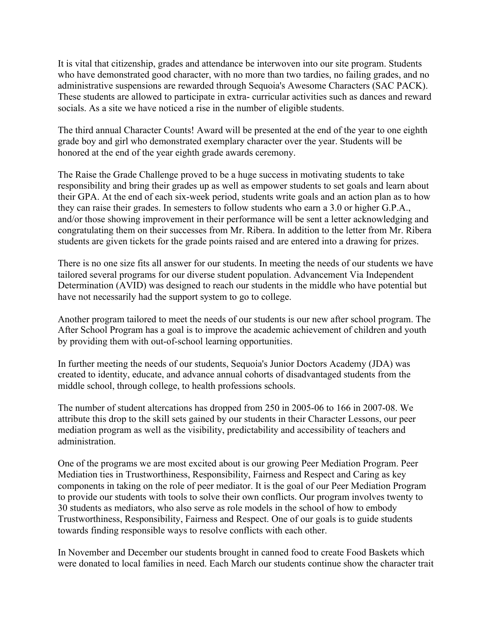It is vital that citizenship, grades and attendance be interwoven into our site program. Students who have demonstrated good character, with no more than two tardies, no failing grades, and no administrative suspensions are rewarded through Sequoia's Awesome Characters (SAC PACK). These students are allowed to participate in extra- curricular activities such as dances and reward socials. As a site we have noticed a rise in the number of eligible students.

The third annual Character Counts! Award will be presented at the end of the year to one eighth grade boy and girl who demonstrated exemplary character over the year. Students will be honored at the end of the year eighth grade awards ceremony.

The Raise the Grade Challenge proved to be a huge success in motivating students to take responsibility and bring their grades up as well as empower students to set goals and learn about their GPA. At the end of each six-week period, students write goals and an action plan as to how they can raise their grades. In semesters to follow students who earn a 3.0 or higher G.P.A., and/or those showing improvement in their performance will be sent a letter acknowledging and congratulating them on their successes from Mr. Ribera. In addition to the letter from Mr. Ribera students are given tickets for the grade points raised and are entered into a drawing for prizes.

There is no one size fits all answer for our students. In meeting the needs of our students we have tailored several programs for our diverse student population. Advancement Via Independent Determination (AVID) was designed to reach our students in the middle who have potential but have not necessarily had the support system to go to college.

Another program tailored to meet the needs of our students is our new after school program. The After School Program has a goal is to improve the academic achievement of children and youth by providing them with out-of-school learning opportunities.

In further meeting the needs of our students, Sequoia's Junior Doctors Academy (JDA) was created to identity, educate, and advance annual cohorts of disadvantaged students from the middle school, through college, to health professions schools.

The number of student altercations has dropped from 250 in 2005-06 to 166 in 2007-08. We attribute this drop to the skill sets gained by our students in their Character Lessons, our peer mediation program as well as the visibility, predictability and accessibility of teachers and administration.

One of the programs we are most excited about is our growing Peer Mediation Program. Peer Mediation ties in Trustworthiness, Responsibility, Fairness and Respect and Caring as key components in taking on the role of peer mediator. It is the goal of our Peer Mediation Program to provide our students with tools to solve their own conflicts. Our program involves twenty to 30 students as mediators, who also serve as role models in the school of how to embody Trustworthiness, Responsibility, Fairness and Respect. One of our goals is to guide students towards finding responsible ways to resolve conflicts with each other.

In November and December our students brought in canned food to create Food Baskets which were donated to local families in need. Each March our students continue show the character trait